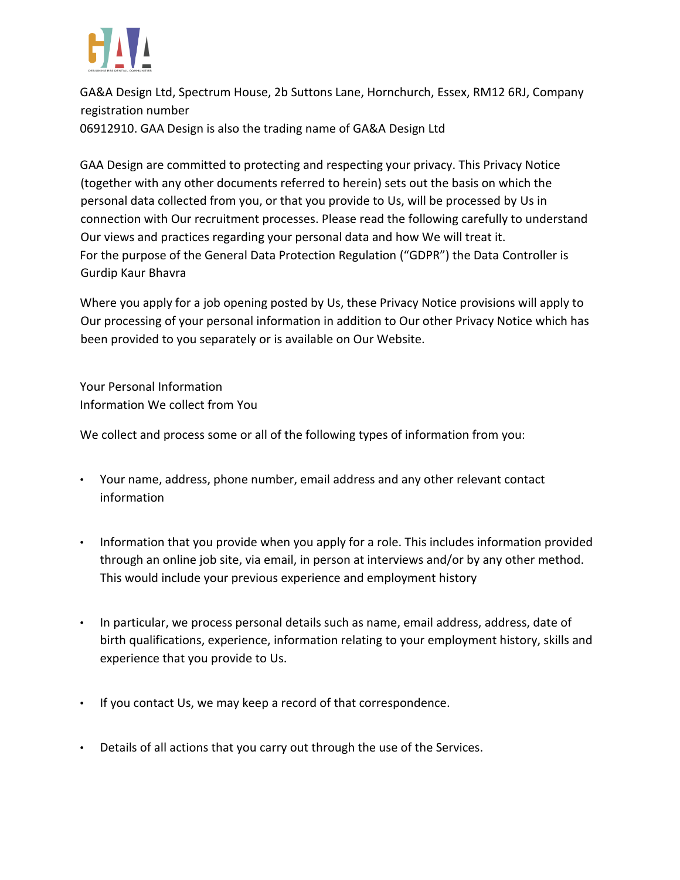

GA&A Design Ltd, Spectrum House, 2b Suttons Lane, Hornchurch, Essex, RM12 6RJ, Company registration number 06912910. GAA Design is also the trading name of GA&A Design Ltd

GAA Design are committed to protecting and respecting your privacy. This Privacy Notice (together with any other documents referred to herein) sets out the basis on which the personal data collected from you, or that you provide to Us, will be processed by Us in connection with Our recruitment processes. Please read the following carefully to understand Our views and practices regarding your personal data and how We will treat it. For the purpose of the General Data Protection Regulation ("GDPR") the Data Controller is Gurdip Kaur Bhavra

Where you apply for a job opening posted by Us, these Privacy Notice provisions will apply to Our processing of your personal information in addition to Our other Privacy Notice which has been provided to you separately or is available on Our Website.

Your Personal Information Information We collect from You

We collect and process some or all of the following types of information from you:

- Your name, address, phone number, email address and any other relevant contact information
- Information that you provide when you apply for a role. This includes information provided through an online job site, via email, in person at interviews and/or by any other method. This would include your previous experience and employment history
- In particular, we process personal details such as name, email address, address, date of birth qualifications, experience, information relating to your employment history, skills and experience that you provide to Us.
- If you contact Us, we may keep a record of that correspondence.
- Details of all actions that you carry out through the use of the Services.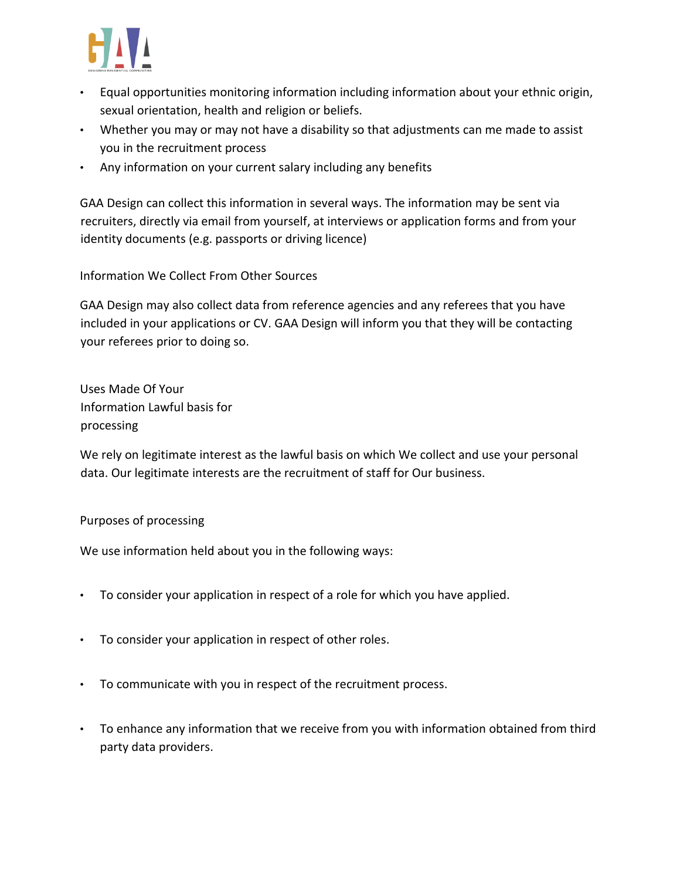

- Equal opportunities monitoring information including information about your ethnic origin, sexual orientation, health and religion or beliefs.
- Whether you may or may not have a disability so that adjustments can me made to assist you in the recruitment process
- Any information on your current salary including any benefits

GAA Design can collect this information in several ways. The information may be sent via recruiters, directly via email from yourself, at interviews or application forms and from your identity documents (e.g. passports or driving licence)

Information We Collect From Other Sources

GAA Design may also collect data from reference agencies and any referees that you have included in your applications or CV. GAA Design will inform you that they will be contacting your referees prior to doing so.

Uses Made Of Your Information Lawful basis for processing

We rely on legitimate interest as the lawful basis on which We collect and use your personal data. Our legitimate interests are the recruitment of staff for Our business.

## Purposes of processing

We use information held about you in the following ways:

- To consider your application in respect of a role for which you have applied.
- To consider your application in respect of other roles.
- To communicate with you in respect of the recruitment process.
- To enhance any information that we receive from you with information obtained from third party data providers.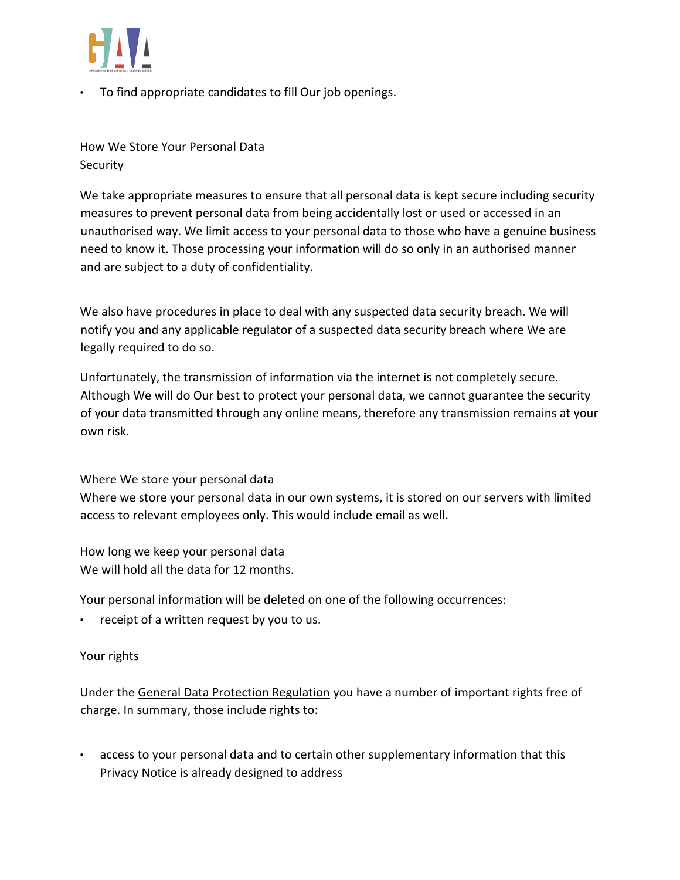

• To find appropriate candidates to fill Our job openings.

How We Store Your Personal Data Security

We take appropriate measures to ensure that all personal data is kept secure including security measures to prevent personal data from being accidentally lost or used or accessed in an unauthorised way. We limit access to your personal data to those who have a genuine business need to know it. Those processing your information will do so only in an authorised manner and are subject to a duty of confidentiality.

We also have procedures in place to deal with any suspected data security breach. We will notify you and any applicable regulator of a suspected data security breach where We are legally required to do so.

Unfortunately, the transmission of information via the internet is not completely secure. Although We will do Our best to protect your personal data, we cannot guarantee the security of your data transmitted through any online means, therefore any transmission remains at your own risk.

Where We store your personal data

Where we store your personal data in our own systems, it is stored on our servers with limited access to relevant employees only. This would include email as well.

How long we keep your personal data We will hold all the data for 12 months.

Your personal information will be deleted on one of the following occurrences:

• receipt of a written request by you to us.

## Your rights

Under th[e](https://eur-lex.europa.eu/legal-content/EN/TXT/PDF/?uri=CELEX:32016R0679&from=EN) [General Data Protection Regulation](https://eur-lex.europa.eu/legal-content/EN/TXT/PDF/?uri=CELEX:32016R0679&from=EN) you have a number of important rights free of charge. In summary, those include rights to:

• access to your personal data and to certain other supplementary information that this Privacy Notice is already designed to address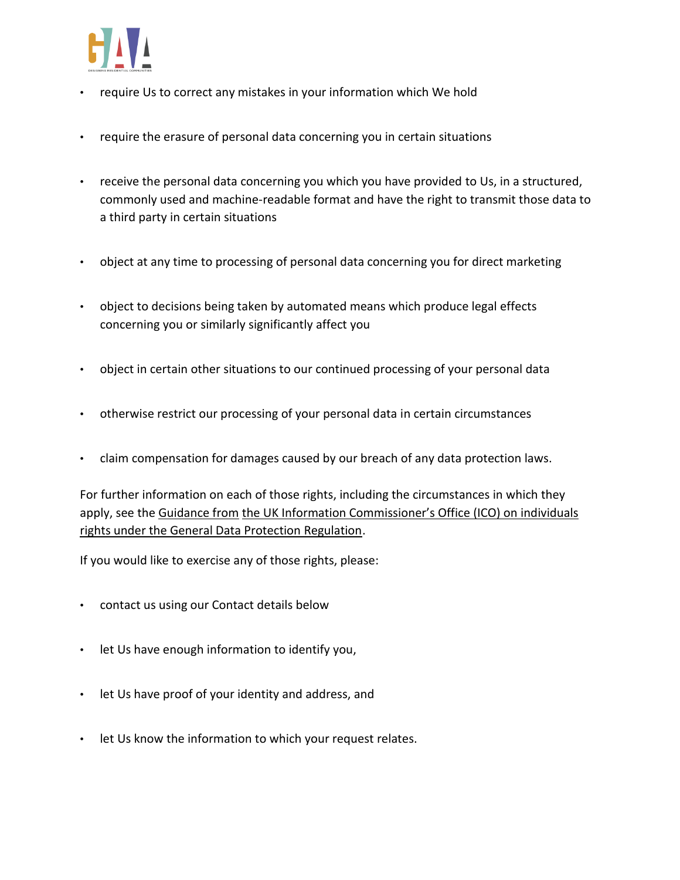

- require Us to correct any mistakes in your information which We hold
- require the erasure of personal data concerning you in certain situations
- receive the personal data concerning you which you have provided to Us, in a structured, commonly used and machine-readable format and have the right to transmit those data to a third party in certain situations
- object at any time to processing of personal data concerning you for direct marketing
- object to decisions being taken by automated means which produce legal effects concerning you or similarly significantly affect you
- object in certain other situations to our continued processing of your personal data
- otherwise restrict our processing of your personal data in certain circumstances
- claim compensation for damages caused by our breach of any data protection laws.

For further information on each of those rights, including the circumstances in which they apply, see the [Guidance from](https://ico.org.uk/for-organisations/guide-to-the-general-data-protection-regulation-gdpr/individual-rights/) [the UK Information Commissioner's Office \(ICO\) on individuals](https://ico.org.uk/for-organisations/guide-to-the-general-data-protection-regulation-gdpr/individual-rights/)  [rights under the General Data Protection Regulation.](https://ico.org.uk/for-organisations/guide-to-the-general-data-protection-regulation-gdpr/individual-rights/)

If you would like to exercise any of those rights, please:

- contact us using our Contact details below
- let Us have enough information to identify you,
- let Us have proof of your identity and address, and
- let Us know the information to which your request relates.